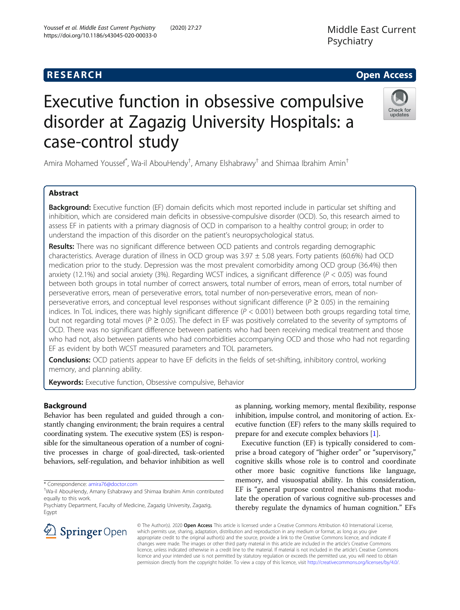# Executive function in obsessive compulsive disorder at Zagazig University Hospitals: a case-control study

Amira Mohamed Youssef $\check{ }$ , Wa-il AbouHendy ${}^{\dagger}$ , Amany Elshabrawy ${}^{\dagger}$  and Shimaa Ibrahim Amin ${}^{\dagger}$ 

# Abstract

Background: Executive function (EF) domain deficits which most reported include in particular set shifting and inhibition, which are considered main deficits in obsessive-compulsive disorder (OCD). So, this research aimed to assess EF in patients with a primary diagnosis of OCD in comparison to a healthy control group; in order to understand the impaction of this disorder on the patient's neuropsychological status.

Results: There was no significant difference between OCD patients and controls regarding demographic characteristics. Average duration of illness in OCD group was 3.97 ± 5.08 years. Forty patients (60.6%) had OCD medication prior to the study. Depression was the most prevalent comorbidity among OCD group (36.4%) then anxiety (12.1%) and social anxiety (3%). Regarding WCST indices, a significant difference ( $P < 0.05$ ) was found between both groups in total number of correct answers, total number of errors, mean of errors, total number of perseverative errors, mean of perseverative errors, total number of non-perseverative errors, mean of nonperseverative errors, and conceptual level responses without significant difference ( $P \ge 0.05$ ) in the remaining indices. In ToL indices, there was highly significant difference  $(P < 0.001)$  between both groups regarding total time, but not regarding total moves ( $P \ge 0.05$ ). The defect in EF was positively correlated to the severity of symptoms of OCD. There was no significant difference between patients who had been receiving medical treatment and those who had not, also between patients who had comorbidities accompanying OCD and those who had not regarding EF as evident by both WCST measured parameters and TOL parameters.

**Conclusions:** OCD patients appear to have EF deficits in the fields of set-shifting, inhibitory control, working memory, and planning ability.

Keywords: Executive function, Obsessive compulsive, Behavior

# Background

Behavior has been regulated and guided through a constantly changing environment; the brain requires a central coordinating system. The executive system (ES) is responsible for the simultaneous operation of a number of cognitive processes in charge of goal-directed, task-oriented behaviors, self-regulation, and behavior inhibition as well

\* Correspondence: [amira76@doctor.com](mailto:amira76@doctor.com) †

as planning, working memory, mental flexibility, response inhibition, impulse control, and monitoring of action. Executive function (EF) refers to the many skills required to prepare for and execute complex behaviors [[1](#page-9-0)].

Executive function (EF) is typically considered to comprise a broad category of "higher order" or "supervisory," cognitive skills whose role is to control and coordinate other more basic cognitive functions like language, memory, and visuospatial ability. In this consideration, EF is "general purpose control mechanisms that modulate the operation of various cognitive sub-processes and thereby regulate the dynamics of human cognition." EFs

© The Author(s). 2020 Open Access This article is licensed under a Creative Commons Attribution 4.0 International License, which permits use, sharing, adaptation, distribution and reproduction in any medium or format, as long as you give appropriate credit to the original author(s) and the source, provide a link to the Creative Commons licence, and indicate if changes were made. The images or other third party material in this article are included in the article's Creative Commons licence, unless indicated otherwise in a credit line to the material. If material is not included in the article's Creative Commons licence and your intended use is not permitted by statutory regulation or exceeds the permitted use, you will need to obtain permission directly from the copyright holder. To view a copy of this licence, visit <http://creativecommons.org/licenses/by/4.0/>.







Wa-il AbouHendy, Amany Eshabrawy and Shimaa Ibrahim Amin contributed equally to this work.

Psychiatry Department, Faculty of Medicine, Zagazig University, Zagazig, Egypt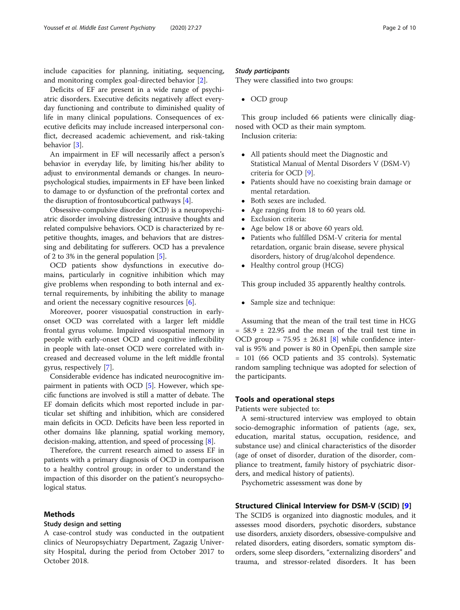include capacities for planning, initiating, sequencing, and monitoring complex goal-directed behavior [[2\]](#page-9-0).

Deficits of EF are present in a wide range of psychiatric disorders. Executive deficits negatively affect everyday functioning and contribute to diminished quality of life in many clinical populations. Consequences of executive deficits may include increased interpersonal conflict, decreased academic achievement, and risk-taking behavior [[3\]](#page-9-0).

An impairment in EF will necessarily affect a person's behavior in everyday life, by limiting his/her ability to adjust to environmental demands or changes. In neuropsychological studies, impairments in EF have been linked to damage to or dysfunction of the prefrontal cortex and the disruption of frontosubcortical pathways [[4](#page-9-0)].

Obsessive-compulsive disorder (OCD) is a neuropsychiatric disorder involving distressing intrusive thoughts and related compulsive behaviors. OCD is characterized by repetitive thoughts, images, and behaviors that are distressing and debilitating for sufferers. OCD has a prevalence of 2 to 3% in the general population [[5\]](#page-9-0).

OCD patients show dysfunctions in executive domains, particularly in cognitive inhibition which may give problems when responding to both internal and external requirements, by inhibiting the ability to manage and orient the necessary cognitive resources  $[6]$  $[6]$ .

Moreover, poorer visuospatial construction in earlyonset OCD was correlated with a larger left middle frontal gyrus volume. Impaired visuospatial memory in people with early-onset OCD and cognitive inflexibility in people with late-onset OCD were correlated with increased and decreased volume in the left middle frontal gyrus, respectively [\[7](#page-9-0)].

Considerable evidence has indicated neurocognitive impairment in patients with OCD [\[5](#page-9-0)]. However, which specific functions are involved is still a matter of debate. The EF domain deficits which most reported include in particular set shifting and inhibition, which are considered main deficits in OCD. Deficits have been less reported in other domains like planning, spatial working memory, decision-making, attention, and speed of processing [[8\]](#page-9-0).

Therefore, the current research aimed to assess EF in patients with a primary diagnosis of OCD in comparison to a healthy control group; in order to understand the impaction of this disorder on the patient's neuropsychological status.

# Methods

#### Study design and setting

A case-control study was conducted in the outpatient clinics of Neuropsychiatry Department, Zagazig University Hospital, during the period from October 2017 to October 2018.

# Study participants

They were classified into two groups:

 $\bullet$  OCD group

This group included 66 patients were clinically diagnosed with OCD as their main symptom. Inclusion criteria:

- All patients should meet the Diagnostic and Statistical Manual of Mental Disorders V (DSM-V) criteria for OCD [[9\]](#page-9-0).
- Patients should have no coexisting brain damage or mental retardation.
- Both sexes are included.
- Age ranging from 18 to 60 years old.
- Exclusion criteria:
- Age below 18 or above 60 years old.
- Patients who fulfilled DSM-V criteria for mental retardation, organic brain disease, severe physical disorders, history of drug/alcohol dependence.
- Healthy control group (HCG)

This group included 35 apparently healthy controls.

• Sample size and technique:

Assuming that the mean of the trail test time in HCG  $= 58.9 \pm 22.95$  and the mean of the trail test time in OCD group =  $75.95 \pm 26.81$  [[8\]](#page-9-0) while confidence interval is 95% and power is 80 in OpenEpi, then sample size = 101 (66 OCD patients and 35 controls). Systematic random sampling technique was adopted for selection of the participants.

# Tools and operational steps

Patients were subjected to:

A semi-structured interview was employed to obtain socio-demographic information of patients (age, sex, education, marital status, occupation, residence, and substance use) and clinical characteristics of the disorder (age of onset of disorder, duration of the disorder, compliance to treatment, family history of psychiatric disorders, and medical history of patients).

Psychometric assessment was done by

# Structured Clinical Interview for DSM-V (SCID) [[9\]](#page-9-0)

The SCID5 is organized into diagnostic modules, and it assesses mood disorders, psychotic disorders, substance use disorders, anxiety disorders, obsessive-compulsive and related disorders, eating disorders, somatic symptom disorders, some sleep disorders, "externalizing disorders" and trauma, and stressor-related disorders. It has been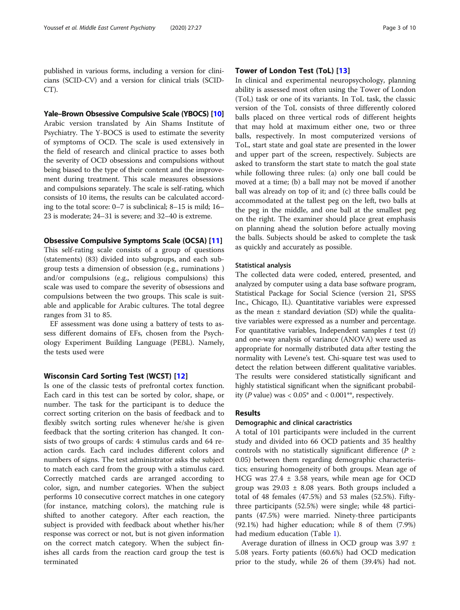published in various forms, including a version for clinicians (SCID-CV) and a version for clinical trials (SCID-CT).

# Yale–Brown Obsessive Compulsive Scale (YBOCS) [\[10\]](#page-9-0)

Arabic version translated by Ain Shams Institute of Psychiatry. The Y-BOCS is used to estimate the severity of symptoms of OCD. The scale is used extensively in the field of research and clinical practice to asses both the severity of OCD obsessions and compulsions without being biased to the type of their content and the improvement during treatment. This scale measures obsessions and compulsions separately. The scale is self-rating, which consists of 10 items, the results can be calculated according to the total score: 0–7 is subclinical; 8–15 is mild; 16– 23 is moderate; 24–31 is severe; and 32–40 is extreme.

# Obsessive Compulsive Symptoms Scale (OCSA) [[11\]](#page-9-0)

This self-rating scale consists of a group of questions (statements) (83) divided into subgroups, and each subgroup tests a dimension of obsession (e.g., ruminations ) and/or compulsions (e.g., religious compulsions) this scale was used to compare the severity of obsessions and compulsions between the two groups. This scale is suitable and applicable for Arabic cultures. The total degree ranges from 31 to 85.

EF assessment was done using a battery of tests to assess different domains of EFs, chosen from the Psychology Experiment Building Language (PEBL). Namely, the tests used were

# Wisconsin Card Sorting Test (WCST) [[12](#page-9-0)]

Is one of the classic tests of prefrontal cortex function. Each card in this test can be sorted by color, shape, or number. The task for the participant is to deduce the correct sorting criterion on the basis of feedback and to flexibly switch sorting rules whenever he/she is given feedback that the sorting criterion has changed. It consists of two groups of cards: 4 stimulus cards and 64 reaction cards. Each card includes different colors and numbers of signs. The test administrator asks the subject to match each card from the group with a stimulus card. Correctly matched cards are arranged according to color, sign, and number categories. When the subject performs 10 consecutive correct matches in one category (for instance, matching colors), the matching rule is shifted to another category. After each reaction, the subject is provided with feedback about whether his/her response was correct or not, but is not given information on the correct match category. When the subject finishes all cards from the reaction card group the test is terminated

# Tower of London Test (ToL) [[13](#page-9-0)]

In clinical and experimental neuropsychology, planning ability is assessed most often using the Tower of London (ToL) task or one of its variants. In ToL task, the classic version of the ToL consists of three differently colored balls placed on three vertical rods of different heights that may hold at maximum either one, two or three balls, respectively. In most computerized versions of ToL, start state and goal state are presented in the lower and upper part of the screen, respectively. Subjects are asked to transform the start state to match the goal state while following three rules: (a) only one ball could be moved at a time; (b) a ball may not be moved if another ball was already on top of it; and (c) three balls could be accommodated at the tallest peg on the left, two balls at the peg in the middle, and one ball at the smallest peg on the right. The examiner should place great emphasis on planning ahead the solution before actually moving the balls. Subjects should be asked to complete the task as quickly and accurately as possible.

# Statistical analysis

The collected data were coded, entered, presented, and analyzed by computer using a data base software program, Statistical Package for Social Science (version 21, SPSS Inc., Chicago, IL). Quantitative variables were expressed as the mean  $\pm$  standard deviation (SD) while the qualitative variables were expressed as a number and percentage. For quantitative variables, Independent samples  $t$  test  $(t)$ and one-way analysis of variance (ANOVA) were used as appropriate for normally distributed data after testing the normality with Levene's test. Chi-square test was used to detect the relation between different qualitative variables. The results were considered statistically significant and highly statistical significant when the significant probability (P value) was <  $0.05^*$  and <  $0.001^{**}$ , respectively.

# Results

## Demographic and clinical caractristics

A total of 101 participants were included in the current study and divided into 66 OCD patients and 35 healthy controls with no statistically significant difference ( $P \geq$ 0.05) between them regarding demographic characteristics; ensuring homogeneity of both groups. Mean age of HCG was 27.4 ± 3.58 years, while mean age for OCD group was  $29.03 \pm 8.08$  years. Both groups included a total of 48 females (47.5%) and 53 males (52.5%). Fiftythree participants (52.5%) were single; while 48 participants (47.5%) were married. Ninety-three participants (92.1%) had higher education; while 8 of them (7.9%) had medium education (Table [1](#page-3-0)).

Average duration of illness in OCD group was 3.97 ± 5.08 years. Forty patients (60.6%) had OCD medication prior to the study, while 26 of them (39.4%) had not.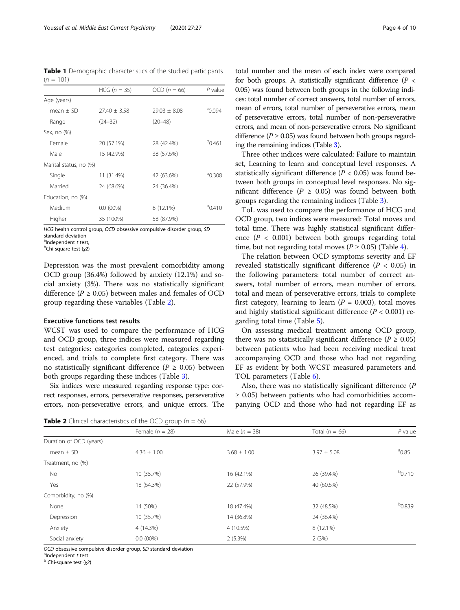<span id="page-3-0"></span>Table 1 Demographic characteristics of the studied participants  $(n = 101)$ 

|                        | $HCG (n = 35)$ | $OCD (n = 66)$   | $P$ value          |
|------------------------|----------------|------------------|--------------------|
| Age (years)            |                |                  |                    |
| $mean + SD$            | $77.40 + 3.58$ | $29.03 \pm 8.08$ | $^{a}$ 0.094       |
| Range                  | $(24 - 32)$    | $(20 - 48)$      |                    |
| Sex, no (%)            |                |                  |                    |
| Female                 | 20 (57.1%)     | 28 (42.4%)       | $^{b}$ 0.461       |
| Male                   | 15 (42.9%)     | 38 (57.6%)       |                    |
| Marital status, no (%) |                |                  |                    |
| Single                 | 11 (31.4%)     | 42 (63.6%)       | <sup>b</sup> 0.308 |
| Married                | 24 (68.6%)     | 24 (36.4%)       |                    |
| Education, no (%)      |                |                  |                    |
| Medium                 | $0.0(00\%)$    | 8 (12.1%)        | $^{b}$ 0.410       |
| Higher                 | 35 (100%)      | 58 (87.9%)       |                    |

HCG health control group, OCD obsessive compulsive disorder group, SD standard deviation

alndependent t test,<br>  $\frac{b}{b}$ Chi square test (v2)

 $D^D$ Chi-square test (x2)

Depression was the most prevalent comorbidity among OCD group (36.4%) followed by anxiety (12.1%) and social anxiety (3%). There was no statistically significant difference ( $P \ge 0.05$ ) between males and females of OCD group regarding these variables (Table 2).

#### Executive functions test results

WCST was used to compare the performance of HCG and OCD group, three indices were measured regarding test categories: categories completed, categories experienced, and trials to complete first category. There was no statistically significant difference ( $P \ge 0.05$ ) between both groups regarding these indices (Table [3](#page-4-0)).

Six indices were measured regarding response type: correct responses, errors, perseverative responses, perseverative errors, non-perseverative errors, and unique errors. The

total number and the mean of each index were compared for both groups. A statistically significant difference ( $P \lt \theta$ 0.05) was found between both groups in the following indices: total number of correct answers, total number of errors, mean of errors, total number of perseverative errors, mean of perseverative errors, total number of non-perseverative errors, and mean of non-perseverative errors. No significant difference ( $P \ge 0.05$ ) was found between both groups regarding the remaining indices (Table [3\)](#page-4-0).

Three other indices were calculated: Failure to maintain set, Learning to learn and conceptual level responses. A statistically significant difference ( $P < 0.05$ ) was found between both groups in conceptual level responses. No significant difference ( $P \ge 0.05$ ) was found between both groups regarding the remaining indices (Table [3](#page-4-0)).

ToL was used to compare the performance of HCG and OCD group, two indices were measured: Total moves and total time. There was highly statistical significant difference ( $P < 0.001$ ) between both groups regarding total time, but not regarding total moves ( $P \ge 0.05$ ) (Table [4](#page-4-0)).

The relation between OCD symptoms severity and EF revealed statistically significant difference ( $P < 0.05$ ) in the following parameters: total number of correct answers, total number of errors, mean number of errors, total and mean of perseverative errors, trials to complete first category, learning to learn ( $P = 0.003$ ), total moves and highly statistical significant difference ( $P < 0.001$ ) regarding total time (Table [5\)](#page-5-0).

On assessing medical treatment among OCD group, there was no statistically significant difference ( $P \ge 0.05$ ) between patients who had been receiving medical treat accompanying OCD and those who had not regarding EF as evident by both WCST measured parameters and TOL parameters (Table [6\)](#page-6-0).

Also, there was no statistically significant difference (P ≥ 0.05) between patients who had comorbidities accompanying OCD and those who had not regarding EF as

**Table 2** Clinical characteristics of the OCD group ( $n = 66$ )

|                         | Female $(n = 28)$ | Male $(n = 38)$ | Total $(n = 66)$ | $P$ value      |
|-------------------------|-------------------|-----------------|------------------|----------------|
| Duration of OCD (years) |                   |                 |                  |                |
| mean $\pm$ SD           | $4.36 \pm 1.00$   | $3.68 \pm 1.00$ | $3.97 \pm 5.08$  | $^{\circ}0.85$ |
| Treatment, no (%)       |                   |                 |                  |                |
| No                      | 10 (35.7%)        | 16 (42.1%)      | 26 (39.4%)       | $b_{0.710}$    |
| Yes                     | 18 (64.3%)        | 22 (57.9%)      | 40 (60.6%)       |                |
| Comorbidity, no (%)     |                   |                 |                  |                |
| None                    | 14 (50%)          | 18 (47.4%)      | 32 (48.5%)       | $^{b}0.839$    |
| Depression              | 10 (35.7%)        | 14 (36.8%)      | 24 (36.4%)       |                |
| Anxiety                 | 4 (14.3%)         | 4 (10.5%)       | 8 (12.1%)        |                |
| Social anxiety          | $0.0(00\%)$       | 2(5.3%)         | 2(3%)            |                |

OCD obsessive compulsive disorder group, SD standard deviation  $a_{\text{Independent}}$  t test

 $<sup>b</sup>$  Chi-square test (χ2)</sup>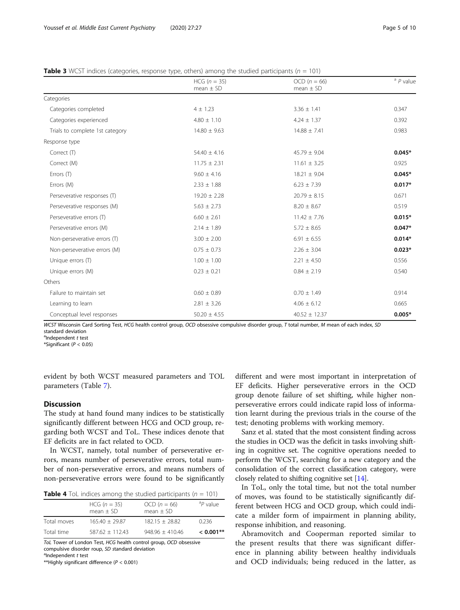<span id="page-4-0"></span>

| <b>Table 3</b> WCST indices (categories, response type, others) among the studied participants ( $n = 101$ ) |  |  |  |
|--------------------------------------------------------------------------------------------------------------|--|--|--|
|                                                                                                              |  |  |  |

|                                 | $HCG (n = 35)$<br>mean $\pm$ SD | $OCD (n = 66)$<br>mean $\pm$ SD | $a$ $P$ value |
|---------------------------------|---------------------------------|---------------------------------|---------------|
| Categories                      |                                 |                                 |               |
| Categories completed            | $4 \pm 1.23$                    | $3.36 \pm 1.41$                 | 0.347         |
| Categories experienced          | $4.80 \pm 1.10$                 | $4.24 \pm 1.37$                 | 0.392         |
| Trials to complete 1st category | $14.80 \pm 9.63$                | $14.88 \pm 7.41$                | 0.983         |
| Response type                   |                                 |                                 |               |
| Correct (T)                     | $54.40 \pm 4.16$                | $45.79 \pm 9.04$                | $0.045*$      |
| Correct (M)                     | $11.75 \pm 2.31$                | $11.61 \pm 3.25$                | 0.925         |
| Errors (T)                      | $9.60 \pm 4.16$                 | $18.21 \pm 9.04$                | $0.045*$      |
| Errors (M)                      | $2.33 \pm 1.88$                 | $6.23 \pm 7.39$                 | $0.017*$      |
| Perseverative responses (T)     | $19.20 \pm 2.28$                | $20.79 \pm 8.15$                | 0.671         |
| Perseverative responses (M)     | $5.63 \pm 2.73$                 | $8.20 \pm 8.67$                 | 0.519         |
| Perseverative errors (T)        | $6.60 \pm 2.61$                 | $11.42 \pm 7.76$                | $0.015*$      |
| Perseverative errors (M)        | $2.14 \pm 1.89$                 | $5.72 \pm 8.65$                 | $0.047*$      |
| Non-perseverative errors (T)    | $3.00 \pm 2.00$                 | $6.91 \pm 6.55$                 | $0.014*$      |
| Non-perseverative errors (M)    | $0.75 \pm 0.73$                 | $2.26 \pm 3.04$                 | $0.023*$      |
| Unique errors (T)               | $1.00 \pm 1.00$                 | $2.21 \pm 4.50$                 | 0.556         |
| Unique errors (M)               | $0.23 \pm 0.21$                 | $0.84 \pm 2.19$                 | 0.540         |
| Others                          |                                 |                                 |               |
| Failure to maintain set         | $0.60 \pm 0.89$                 | $0.70 \pm 1.49$                 | 0.914         |
| Learning to learn               | $2.81 \pm 3.26$                 | $4.06 \pm 6.12$                 | 0.665         |
| Conceptual level responses      | $50.20 \pm 4.55$                | $40.52 \pm 12.37$               | $0.005*$      |

WCST Wisconsin Card Sorting Test, HCG health control group, OCD obsessive compulsive disorder group, T total number, M mean of each index, SD standard deviation

<sup>a</sup>Independent t test

\*Significant ( $P < 0.05$ )

evident by both WCST measured parameters and TOL parameters (Table [7\)](#page-7-0).

# **Discussion**

The study at hand found many indices to be statistically significantly different between HCG and OCD group, regarding both WCST and ToL. These indices denote that EF deficits are in fact related to OCD.

In WCST, namely, total number of perseverative errors, means number of perseverative errors, total number of non-perseverative errors, and means numbers of non-perseverative errors were found to be significantly

| <b>Table 4</b> ToL indices among the studied participants ( $n = 101$ ) |  |  |  |  |  |  |  |
|-------------------------------------------------------------------------|--|--|--|--|--|--|--|
|-------------------------------------------------------------------------|--|--|--|--|--|--|--|

|             | $HCG (n = 35)$<br>$mean + SD$ | $OCD (n = 66)$<br>$mean + SD$ | ${}^dP$ value |
|-------------|-------------------------------|-------------------------------|---------------|
| Total moves | $165.40 + 29.87$              | $182.15 + 28.82$              | 0.236         |
| Total time  | $587.62 + 112.43$             | $948.96 + 410.46$             | $< 0.001$ **  |

ToL Tower of London Test, HCG health control group, OCD obsessive compulsive disorder roup, SD standard deviation  $a$ Independent t test

\*\*Highly significant difference ( $P < 0.001$ )

different and were most important in interpretation of EF deficits. Higher perseverative errors in the OCD group denote failure of set shifting, while higher nonperseverative errors could indicate rapid loss of information learnt during the previous trials in the course of the test; denoting problems with working memory.

Sanz et al. stated that the most consistent finding across the studies in OCD was the deficit in tasks involving shifting in cognitive set. The cognitive operations needed to perform the WCST, searching for a new category and the consolidation of the correct classification category, were closely related to shifting cognitive set [\[14\]](#page-9-0).

In ToL, only the total time, but not the total number of moves, was found to be statistically significantly different between HCG and OCD group, which could indicate a milder form of impairment in planning ability, response inhibition, and reasoning.

Abramovitch and Cooperman reported similar to the present results that there was significant difference in planning ability between healthy individuals and OCD individuals; being reduced in the latter, as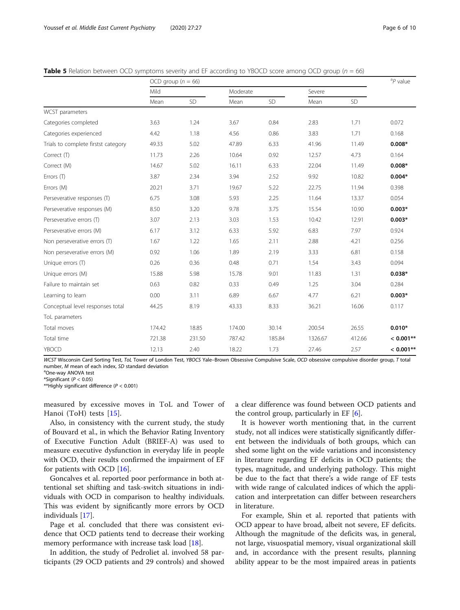<span id="page-5-0"></span>

| <b>Table 5</b> Relation between OCD symptoms severity and EF according to YBOCD score among OCD group ( $n = 66$ ) |
|--------------------------------------------------------------------------------------------------------------------|
|--------------------------------------------------------------------------------------------------------------------|

|                                     | OCD group $(n = 66)$ |           |          |        |         | ${}^{a}P$ value |             |
|-------------------------------------|----------------------|-----------|----------|--------|---------|-----------------|-------------|
|                                     | Mild                 |           | Moderate |        | Severe  |                 |             |
|                                     | Mean                 | <b>SD</b> | Mean     | SD     | Mean    | SD              |             |
| <b>WCST</b> parameters              |                      |           |          |        |         |                 |             |
| Categories completed                | 3.63                 | 1.24      | 3.67     | 0.84   | 2.83    | 1.71            | 0.072       |
| Categories experienced              | 4.42                 | 1.18      | 4.56     | 0.86   | 3.83    | 1.71            | 0.168       |
| Trials to complete firstst category | 49.33                | 5.02      | 47.89    | 6.33   | 41.96   | 11.49           | $0.008*$    |
| Correct (T)                         | 11.73                | 2.26      | 10.64    | 0.92   | 12.57   | 4.73            | 0.164       |
| Correct (M)                         | 14.67                | 5.02      | 16.11    | 6.33   | 22.04   | 11.49           | $0.008*$    |
| Errors $(T)$                        | 3.87                 | 2.34      | 3.94     | 2.52   | 9.92    | 10.82           | $0.004*$    |
| Errors (M)                          | 20.21                | 3.71      | 19.67    | 5.22   | 22.75   | 11.94           | 0.398       |
| Perseverative responses (T)         | 6.75                 | 3.08      | 5.93     | 2.25   | 11.64   | 13.37           | 0.054       |
| Perseverative responses (M)         | 8.50                 | 3.20      | 9.78     | 3.75   | 15.54   | 10.90           | $0.003*$    |
| Perseverative errors (T)            | 3.07                 | 2.13      | 3.03     | 1.53   | 10.42   | 12.91           | $0.003*$    |
| Perseverative errors (M)            | 6.17                 | 3.12      | 6.33     | 5.92   | 6.83    | 7.97            | 0.924       |
| Non perseverative errors (T)        | 1.67                 | 1.22      | 1.65     | 2.11   | 2.88    | 4.21            | 0.256       |
| Non perseverative errors (M)        | 0.92                 | 1.06      | 1.89     | 2.19   | 3.33    | 6.81            | 0.158       |
| Unique errors (T)                   | 0.26                 | 0.36      | 0.48     | 0.71   | 1.54    | 3.43            | 0.094       |
| Unique errors (M)                   | 15.88                | 5.98      | 15.78    | 9.01   | 11.83   | 1.31            | $0.038*$    |
| Failure to maintain set             | 0.63                 | 0.82      | 0.33     | 0.49   | 1.25    | 3.04            | 0.284       |
| Learning to learn                   | 0.00                 | 3.11      | 6.89     | 6.67   | 4.77    | 6.21            | $0.003*$    |
| Conceptual level responses total    | 44.25                | 8.19      | 43.33    | 8.33   | 36.21   | 16.06           | 0.117       |
| ToL parameters                      |                      |           |          |        |         |                 |             |
| Total moves                         | 174.42               | 18.85     | 174.00   | 30.14  | 200.54  | 26.55           | $0.010*$    |
| Total time                          | 721.38               | 231.50    | 787.42   | 185.84 | 1326.67 | 412.66          | $< 0.001**$ |
| YBOCD                               | 12.13                | 2.40      | 18.22    | 1.73   | 27.46   | 2.57            | $< 0.001**$ |

WCST Wisconsin Card Sorting Test, ToL Tower of London Test, YBOCS Yale-Brown Obsessive Compulsive Scale, OCD obsessive compulsive disorder group, T total number, M mean of each index, SD standard deviation

<sup>a</sup>One-wav ANOVA test

\*Significant ( $P < 0.05$ )

\*\*Highly significant difference ( $P < 0.001$ )

measured by excessive moves in ToL and Tower of Hanoi (ToH) tests [[15\]](#page-9-0).

Also, in consistency with the current study, the study of Bouvard et al., in which the Behavior Rating Inventory of Executive Function Adult (BRIEF-A) was used to measure executive dysfunction in everyday life in people with OCD, their results confirmed the impairment of EF for patients with OCD [[16\]](#page-9-0).

Goncalves et al. reported poor performance in both attentional set shifting and task-switch situations in individuals with OCD in comparison to healthy individuals. This was evident by significantly more errors by OCD individuals [[17\]](#page-9-0).

Page et al. concluded that there was consistent evidence that OCD patients tend to decrease their working memory performance with increase task load [[18](#page-9-0)].

In addition, the study of Pedroliet al. involved 58 participants (29 OCD patients and 29 controls) and showed a clear difference was found between OCD patients and the control group, particularly in EF [[6\]](#page-9-0).

It is however worth mentioning that, in the current study, not all indices were statistically significantly different between the individuals of both groups, which can shed some light on the wide variations and inconsistency in literature regarding EF deficits in OCD patients; the types, magnitude, and underlying pathology. This might be due to the fact that there's a wide range of EF tests with wide range of calculated indices of which the application and interpretation can differ between researchers in literature.

For example, Shin et al. reported that patients with OCD appear to have broad, albeit not severe, EF deficits. Although the magnitude of the deficits was, in general, not large, visuospatial memory, visual organizational skill and, in accordance with the present results, planning ability appear to be the most impaired areas in patients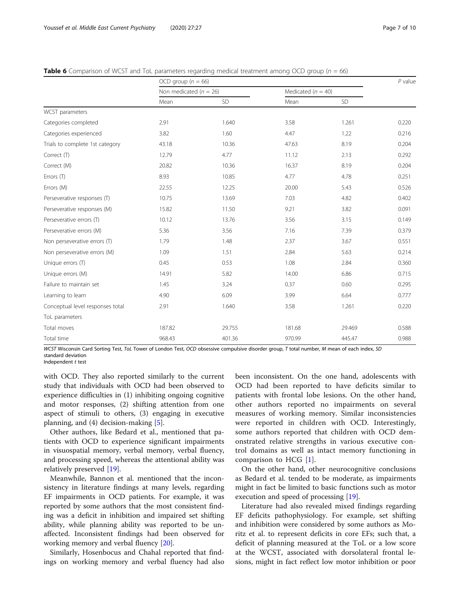<span id="page-6-0"></span>**Table 6** Comparison of WCST and ToL parameters regarding medical treatment among OCD group ( $n = 66$ )

|                                  | OCD group ( $n = 66$ )     |        |                        |        |       |
|----------------------------------|----------------------------|--------|------------------------|--------|-------|
|                                  | Non medicated ( $n = 26$ ) |        | Medicated ( $n = 40$ ) |        |       |
|                                  | Mean                       | SD     | Mean                   | SD     |       |
| WCST parameters                  |                            |        |                        |        |       |
| Categories completed             | 2.91                       | 1.640  | 3.58                   | 1.261  | 0.220 |
| Categories experienced           | 3.82                       | 1.60   | 4.47                   | 1.22   | 0.216 |
| Trials to complete 1st category  | 43.18                      | 10.36  | 47.63                  | 8.19   | 0.204 |
| Correct (T)                      | 12.79                      | 4.77   | 11.12                  | 2.13   | 0.292 |
| Correct (M)                      | 20.82                      | 10.36  | 16.37                  | 8.19   | 0.204 |
| Errors (T)                       | 8.93                       | 10.85  | 4.77                   | 4.78   | 0.251 |
| Errors (M)                       | 22.55                      | 12.25  | 20.00                  | 5.43   | 0.526 |
| Perseverative responses (T)      | 10.75                      | 13.69  | 7.03                   | 4.82   | 0.402 |
| Perseverative responses (M)      | 15.82                      | 11.50  | 9.21                   | 3.82   | 0.091 |
| Perseverative errors (T)         | 10.12                      | 13.76  | 3.56                   | 3.15   | 0.149 |
| Perseverative errors (M)         | 5.36                       | 3.56   | 7.16                   | 7.39   | 0.379 |
| Non perseverative errors (T)     | 1.79                       | 1.48   | 2.37                   | 3.67   | 0.551 |
| Non perseverative errors (M)     | 1.09                       | 1.51   | 2.84                   | 5.63   | 0.214 |
| Unique errors (T)                | 0.45                       | 0.53   | 1.08                   | 2.84   | 0.360 |
| Unique errors (M)                | 14.91                      | 5.82   | 14.00                  | 6.86   | 0.715 |
| Failure to maintain set          | 1.45                       | 3.24   | 0.37                   | 0.60   | 0.295 |
| Learning to learn                | 4.90                       | 6.09   | 3.99                   | 6.64   | 0.777 |
| Conceptual level responses total | 2.91                       | 1.640  | 3.58                   | 1.261  | 0.220 |
| ToL parameters                   |                            |        |                        |        |       |
| Total moves                      | 187.82                     | 29.755 | 181.68                 | 29.469 | 0.588 |
| Total time                       | 968.43                     | 401.36 | 970.99                 | 445.47 | 0.988 |

WCST Wisconsin Card Sorting Test, ToL Tower of London Test, OCD obsessive compulsive disorder group, T total number, M mean of each index, SD standard deviation

Independent t test

with OCD. They also reported similarly to the current study that individuals with OCD had been observed to experience difficulties in (1) inhibiting ongoing cognitive and motor responses, (2) shifting attention from one aspect of stimuli to others, (3) engaging in executive planning, and (4) decision-making [[5\]](#page-9-0).

Other authors, like Bedard et al., mentioned that patients with OCD to experience significant impairments in visuospatial memory, verbal memory, verbal fluency, and processing speed, whereas the attentional ability was relatively preserved [[19](#page-9-0)].

Meanwhile, Bannon et al. mentioned that the inconsistency in literature findings at many levels, regarding EF impairments in OCD patients. For example, it was reported by some authors that the most consistent finding was a deficit in inhibition and impaired set shifting ability, while planning ability was reported to be unaffected. Inconsistent findings had been observed for working memory and verbal fluency [[20\]](#page-9-0).

Similarly, Hosenbocus and Chahal reported that findings on working memory and verbal fluency had also been inconsistent. On the one hand, adolescents with OCD had been reported to have deficits similar to patients with frontal lobe lesions. On the other hand, other authors reported no impairments on several measures of working memory. Similar inconsistencies were reported in children with OCD. Interestingly, some authors reported that children with OCD demonstrated relative strengths in various executive control domains as well as intact memory functioning in comparison to HCG [[1\]](#page-9-0).

On the other hand, other neurocognitive conclusions as Bedard et al. tended to be moderate, as impairments might in fact be limited to basic functions such as motor execution and speed of processing [\[19](#page-9-0)].

Literature had also revealed mixed findings regarding EF deficits pathophysiology. For example, set shifting and inhibition were considered by some authors as Moritz et al. to represent deficits in core EFs; such that, a deficit of planning measured at the ToL or a low score at the WCST, associated with dorsolateral frontal lesions, might in fact reflect low motor inhibition or poor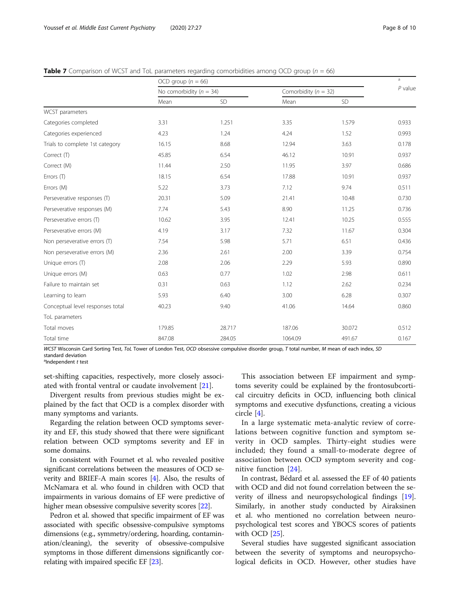<span id="page-7-0"></span>**Table 7** Comparison of WCST and ToL parameters regarding comorbidities among OCD group ( $n = 66$ )

|                                  | OCD group ( $n = 66$ )      |           |                          |           | a         |
|----------------------------------|-----------------------------|-----------|--------------------------|-----------|-----------|
|                                  | No comorbidity ( $n = 34$ ) |           | Comorbidity ( $n = 32$ ) |           | $P$ value |
|                                  | Mean                        | <b>SD</b> | Mean                     | <b>SD</b> |           |
| WCST parameters                  |                             |           |                          |           |           |
| Categories completed             | 3.31                        | 1.251     | 3.35                     | 1.579     | 0.933     |
| Categories experienced           | 4.23                        | 1.24      | 4.24                     | 1.52      | 0.993     |
| Trials to complete 1st category  | 16.15                       | 8.68      | 12.94                    | 3.63      | 0.178     |
| Correct (T)                      | 45.85                       | 6.54      | 46.12                    | 10.91     | 0.937     |
| Correct (M)                      | 11.44                       | 2.50      | 11.95                    | 3.97      | 0.686     |
| Errors (T)                       | 18.15                       | 6.54      | 17.88                    | 10.91     | 0.937     |
| Errors (M)                       | 5.22                        | 3.73      | 7.12                     | 9.74      | 0.511     |
| Perseverative responses (T)      | 20.31                       | 5.09      | 21.41                    | 10.48     | 0.730     |
| Perseverative responses (M)      | 7.74                        | 5.43      | 8.90                     | 11.25     | 0.736     |
| Perseverative errors (T)         | 10.62                       | 3.95      | 12.41                    | 10.25     | 0.555     |
| Perseverative errors (M)         | 4.19                        | 3.17      | 7.32                     | 11.67     | 0.304     |
| Non perseverative errors (T)     | 7.54                        | 5.98      | 5.71                     | 6.51      | 0.436     |
| Non perseverative errors (M)     | 2.36                        | 2.61      | 2.00                     | 3.39      | 0.754     |
| Unique errors (T)                | 2.08                        | 2.06      | 2.29                     | 5.93      | 0.890     |
| Unique errors (M)                | 0.63                        | 0.77      | 1.02                     | 2.98      | 0.611     |
| Failure to maintain set          | 0.31                        | 0.63      | 1.12                     | 2.62      | 0.234     |
| Learning to learn                | 5.93                        | 6.40      | 3.00                     | 6.28      | 0.307     |
| Conceptual level responses total | 40.23                       | 9.40      | 41.06                    | 14.64     | 0.860     |
| ToL parameters                   |                             |           |                          |           |           |
| Total moves                      | 179.85                      | 28.717    | 187.06                   | 30.072    | 0.512     |
| Total time                       | 847.08                      | 284.05    | 1064.09                  | 491.67    | 0.167     |

WCST Wisconsin Card Sorting Test, ToL Tower of London Test, OCD obsessive compulsive disorder group, T total number, M mean of each index, SD standard deviation

<sup>a</sup>Independent t test

set-shifting capacities, respectively, more closely associated with frontal ventral or caudate involvement [\[21\]](#page-9-0).

Divergent results from previous studies might be explained by the fact that OCD is a complex disorder with many symptoms and variants.

Regarding the relation between OCD symptoms severity and EF, this study showed that there were significant relation between OCD symptoms severity and EF in some domains.

In consistent with Fournet et al. who revealed positive significant correlations between the measures of OCD severity and BRIEF-A main scores [[4](#page-9-0)]. Also, the results of McNamara et al. who found in children with OCD that impairments in various domains of EF were predictive of higher mean obsessive compulsive severity scores [[22](#page-9-0)].

Pedron et al. showed that specific impairment of EF was associated with specific obsessive-compulsive symptoms dimensions (e.g., symmetry/ordering, hoarding, contamination/cleaning), the severity of obsessive-compulsive symptoms in those different dimensions significantly correlating with impaired specific EF [\[23\]](#page-9-0).

This association between EF impairment and symptoms severity could be explained by the frontosubcortical circuitry deficits in OCD, influencing both clinical symptoms and executive dysfunctions, creating a vicious circle [[4\]](#page-9-0).

In a large systematic meta-analytic review of correlations between cognitive function and symptom severity in OCD samples. Thirty-eight studies were included; they found a small-to-moderate degree of association between OCD symptom severity and cognitive function [\[24\]](#page-9-0).

In contrast, Bédard et al. assessed the EF of 40 patients with OCD and did not found correlation between the severity of illness and neuropsychological findings [\[19](#page-9-0)]. Similarly, in another study conducted by Airaksinen et al. who mentioned no correlation between neuropsychological test scores and YBOCS scores of patients with OCD [\[25\]](#page-9-0).

Several studies have suggested significant association between the severity of symptoms and neuropsychological deficits in OCD. However, other studies have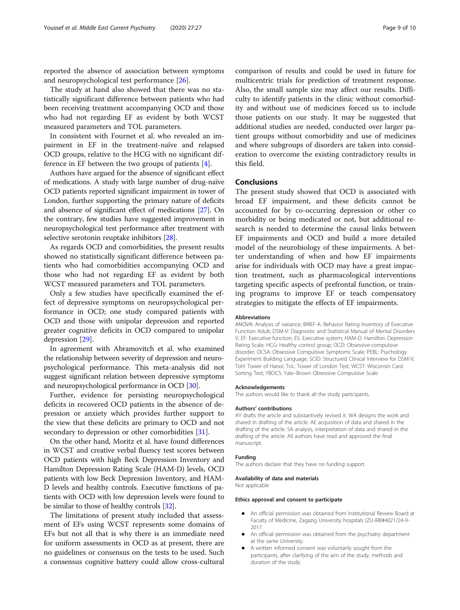reported the absence of association between symptoms and neuropsychological test performance [\[26](#page-9-0)].

The study at hand also showed that there was no statistically significant difference between patients who had been receiving treatment accompanying OCD and those who had not regarding EF as evident by both WCST measured parameters and TOL parameters.

In consistent with Fournet et al. who revealed an impairment in EF in the treatment-naïve and relapsed OCD groups, relative to the HCG with no significant difference in EF between the two groups of patients [\[4](#page-9-0)].

Authors have argued for the absence of significant effect of medications. A study with large number of drug-naïve OCD patients reported significant impairment in tower of London, further supporting the primary nature of deficits and absence of significant effect of medications [\[27\]](#page-9-0). On the contrary, few studies have suggested improvement in neuropsychological test performance after treatment with selective serotonin reuptake inhibitors [[28](#page-9-0)].

As regards OCD and comorbidities, the present results showed no statistically significant difference between patients who had comorbidities accompanying OCD and those who had not regarding EF as evident by both WCST measured parameters and TOL parameters.

Only a few studies have specifically examined the effect of depressive symptoms on neuropsychological performance in OCD; one study compared patients with OCD and those with unipolar depression and reported greater cognitive deficits in OCD compared to unipolar depression [\[29](#page-9-0)].

In agreement with Abramovitch et al. who examined the relationship between severity of depression and neuropsychological performance. This meta-analysis did not suggest significant relation between depressive symptoms and neuropsychological performance in OCD [\[30\]](#page-9-0).

Further, evidence for persisting neuropsychological deficits in recovered OCD patients in the absence of depression or anxiety which provides further support to the view that these deficits are primary to OCD and not secondary to depression or other comorbidities [\[31](#page-9-0)].

On the other hand, Moritz et al. have found differences in WCST and creative verbal fluency test scores between OCD patients with high Beck Depression Inventory and Hamilton Depression Rating Scale (HAM-D) levels, OCD patients with low Beck Depression Inventory, and HAM-D levels and healthy controls. Executive functions of patients with OCD with low depression levels were found to be similar to those of healthy controls [\[32](#page-9-0)].

The limitations of present study included that assessment of EFs using WCST represents some domains of EFs but not all that is why there is an immediate need for uniform assessments in OCD as at present, there are no guidelines or consensus on the tests to be used. Such a consensus cognitive battery could allow cross-cultural

comparison of results and could be used in future for multicentric trials for prediction of treatment response. Also, the small sample size may affect our results. Difficulty to identify patients in the clinic without comorbidity and without use of medicines forced us to include those patients on our study. It may be suggested that additional studies are needed, conducted over larger patient groups without comorbidity and use of medicines and where subgroups of disorders are taken into consideration to overcome the existing contradictory results in this field.

#### Conclusions

The present study showed that OCD is associated with broad EF impairment, and these deficits cannot be accounted for by co-occurring depression or other co morbidity or being medicated or not, but additional research is needed to determine the causal links between EF impairments and OCD and build a more detailed model of the neurobiology of these impairments. A better understanding of when and how EF impairments arise for individuals with OCD may have a great impaction treatment, such as pharmacological interventions targeting specific aspects of prefrontal function, or training programs to improve EF or teach compensatory strategies to mitigate the effects of EF impairments.

#### Abbreviations

ANOVA: Analysis of variance; BRIEF-A: Behavior Rating Inventory of Executive Function Adult; DSM-V: Diagnostic and Statistical Manual of Mental Disorders V; EF: Executive function; ES: Executive system; HAM-D: Hamilton Depression Rating Scale; HCG: Healthy control group; OCD: Obsessive-compulsive disorder; OCSA: Obsessive Compulsive Symptoms Scale; PEBL: Psychology Experiment Building Language; SCID: Structured Clinical Interview for DSM-V; ToH: Tower of Hanoi; ToL: Tower of London Test; WCST: Wisconsin Card Sorting Test; YBOCS: Yale–Brown Obsessive Compulsive Scale

#### Acknowledgements

The authors would like to thank all the study participants.

#### Authors' contributions

AY drafts the article and substantively revised it. WA designs the work and shared in drafting of the article. AE acquisition of data and shared in the drafting of the article. SA analysis, interpretation of data and shared in the drafting of the article. All authors have read and approved the final manuscript.

#### Funding

The authors declare that they have no funding support.

#### Availability of data and materials

Not applicable

#### Ethics approval and consent to participate

- An official permission was obtained from Institutional Review Board at Faculty of Medicine, Zagazig University hospitals (ZU-IRB#4021/24-9- 2017.
- An official permission was obtained from the psychiatry department at the same University.
- A written informed consent was voluntarily sought from the participants, after clarifying of the aim of the study, methods and duration of the study.